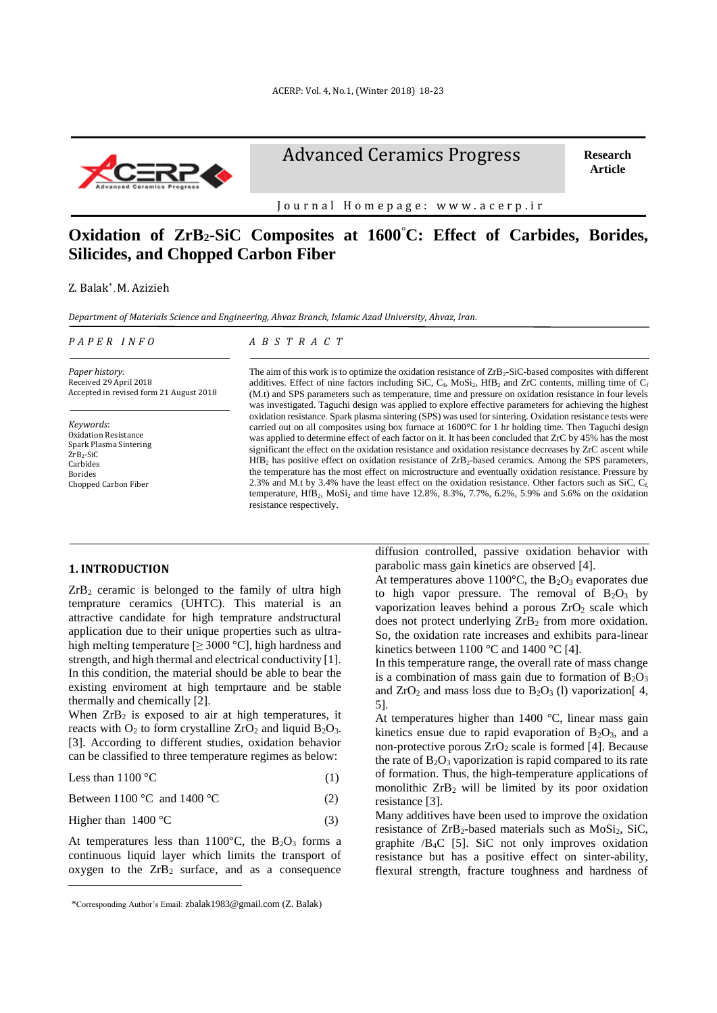

Advanced Ceramics Progress

**Research Article**

Journal Homepage: www.acerp.ir

# **Oxidation of ZrB2-SiC Composites at 1600°C: Effect of Carbides, Borides, Silicides, and Chopped Carbon Fiber**

Z. Balak\* , M. Azizieh

*Department of Materials Science and Engineering, Ahvaz Branch, Islamic Azad University, Ahvaz, Iran.*

*P A P E R I N F O*

#### *A B S T R A C T*

*Paper history:* Received 29 April 2018 Accepted in revised form 21 August 2018

*Keywords*: Oxidation Resistance Spark Plasma Sintering ZrB<sub>2</sub>-SiC Carbides Borides Chopped Carbon Fiber

The aim of this work is to optimize the oxidation resistance of  $\text{ZrB}_2\text{-}SiC\text{-}based composites with different}$ additives. Effect of nine factors including SiC,  $C_f$ , MoSi<sub>2</sub>, HfB<sub>2</sub> and ZrC contents, milling time of  $C_f$ (M.t) and SPS parameters such as temperature, time and pressure on oxidation resistance in four levels was investigated. Taguchi design was applied to explore effective parameters for achieving the highest oxidation resistance. Spark plasma sintering (SPS) was used for sintering. Oxidation resistance tests were carried out on all composites using box furnace at 1600°C for 1 hr holding time. Then Taguchi design was applied to determine effect of each factor on it. It has been concluded that ZrC by 45% has the most significant the effect on the oxidation resistance and oxidation resistance decreases by ZrC ascent while  $HfB<sub>2</sub>$  has positive effect on oxidation resistance of  $ZrB<sub>2</sub>$ -based ceramics. Among the SPS parameters, the temperature has the most effect on microstructure and eventually oxidation resistance. Pressure by 2.3% and M.t by 3.4% have the least effect on the oxidation resistance. Other factors such as SiC,  $C_f$ temperature,  $HfB_2$ ,  $MoSi_2$  and time have 12.8%, 8.3%, 7.7%, 6.2%, 5.9% and 5.6% on the oxidation resistance respectively.

#### **1. INTRODUCTION<sup>1</sup>**

l

 $ZrB<sub>2</sub>$  ceramic is belonged to the family of ultra high temprature ceramics (UHTC). This material is an attractive candidate for high temprature andstructural application due to their unique properties such as ultrahigh melting temperature  $[\geq 3000 \degree C]$ , high hardness and strength, and high thermal and electrical conductivity [1]. In this condition, the material should be able to bear the existing enviroment at high temprtaure and be stable thermally and chemically [2].

When  $ZrB_2$  is exposed to air at high temperatures, it reacts with  $O_2$  to form crystalline  $ZrO_2$  and liquid  $B_2O_3$ . [3]. According to different studies, oxidation behavior can be classified to three temperature regimes as below:

Less than  $1100 \, \text{°C}$  (1)

Between  $1100 \, \text{°C}$  and  $1400 \, \text{°C}$  (2)

Higher than  $1400 \, \text{°C}$  (3)

At temperatures less than  $1100^{\circ}$ C, the B<sub>2</sub>O<sub>3</sub> forms a continuous liquid layer which limits the transport of oxygen to the  $ZrB_2$  surface, and as a consequence diffusion controlled, passive oxidation behavior with parabolic mass gain kinetics are observed [4].

At temperatures above  $1100^{\circ}$ C, the B<sub>2</sub>O<sub>3</sub> evaporates due to high vapor pressure. The removal of  $B_2O_3$  by vaporization leaves behind a porous  $ZrO<sub>2</sub>$  scale which does not protect underlying  $ZrB_2$  from more oxidation. So, the oxidation rate increases and exhibits para-linear kinetics between  $1100^{\circ}$ C and  $1400^{\circ}$ C [4].

In this temperature range, the overall rate of mass change is a combination of mass gain due to formation of  $B_2O_3$ and  $ZrO<sub>2</sub>$  and mass loss due to  $B<sub>2</sub>O<sub>3</sub>$  (1) vaporization[4, 5].

At temperatures higher than 1400 °C, linear mass gain kinetics ensue due to rapid evaporation of  $B_2O_3$ , and a non-protective porous  $ZrO<sub>2</sub>$  scale is formed [4]. Because the rate of  $B_2O_3$  vaporization is rapid compared to its rate of formation. Thus, the high-temperature applications of monolithic ZrB<sup>2</sup> will be limited by its poor oxidation resistance [3].

Many additives have been used to improve the oxidation resistance of  $ZrB_2$ -based materials such as  $MoSi<sub>2</sub>, SiC,$ graphite  $/B<sub>4</sub>C$  [5]. SiC not only improves oxidation resistance but has a positive effect on sinter-ability, flexural strength, fracture toughness and hardness of

<sup>1</sup>\*Corresponding Author's Email: zbalak1983@gmail.com (Z. Balak)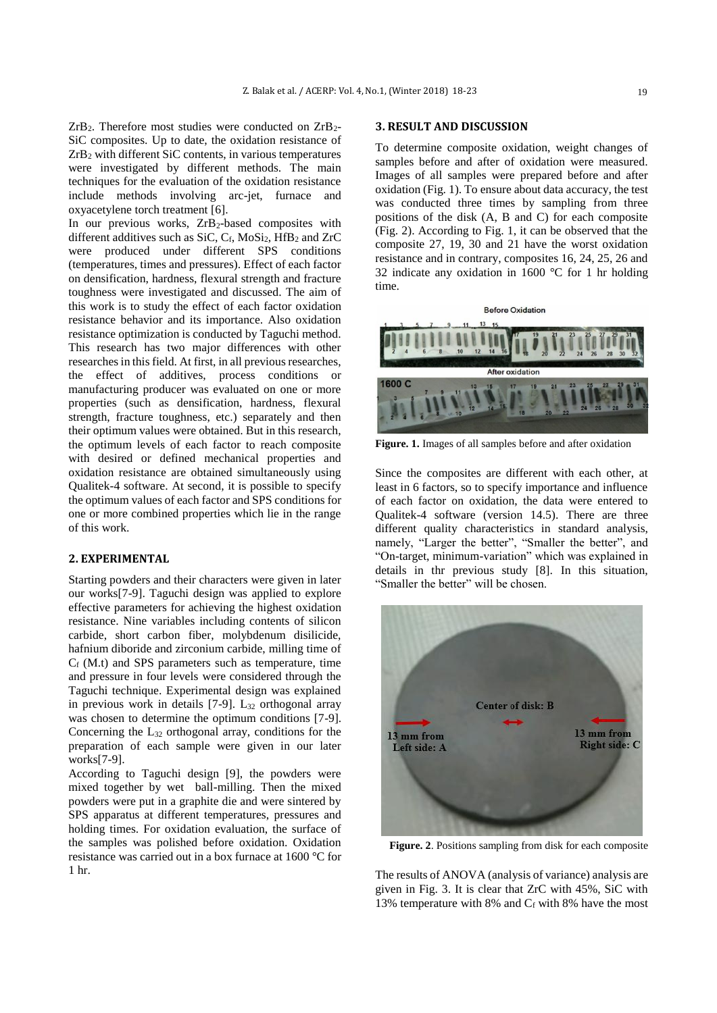$ZrB_2$ . Therefore most studies were conducted on  $ZrB_2$ -SiC composites. Up to date, the oxidation resistance of ZrB<sup>2</sup> with different SiC contents, in various temperatures were investigated by different methods. The main techniques for the evaluation of the oxidation resistance include methods involving arc-jet, furnace and oxyacetylene torch treatment [6].

In our previous works, ZrB<sub>2</sub>-based composites with different additives such as SiC,  $C_f$ , MoSi<sub>2</sub>, HfB<sub>2</sub> and ZrC were produced under different SPS conditions (temperatures, times and pressures). Effect of each factor on densification, hardness, flexural strength and fracture toughness were investigated and discussed. The aim of this work is to study the effect of each factor oxidation resistance behavior and its importance. Also oxidation resistance optimization is conducted by Taguchi method. This research has two major differences with other researches in this field. At first, in all previous researches, the effect of additives, process conditions or manufacturing producer was evaluated on one or more properties (such as densification, hardness, flexural strength, fracture toughness, etc.) separately and then their optimum values were obtained. But in this research, the optimum levels of each factor to reach composite with desired or defined mechanical properties and oxidation resistance are obtained simultaneously using Qualitek-4 software. At second, it is possible to specify the optimum values of each factor and SPS conditions for one or more combined properties which lie in the range of this work.

# **2. EXPERIMENTAL**

Starting powders and their characters were given in later our works[7-9]. Taguchi design was applied to explore effective parameters for achieving the highest oxidation resistance. Nine variables including contents of silicon carbide, short carbon fiber, molybdenum disilicide, hafnium diboride and zirconium carbide, milling time of  $C_f$  (M.t) and SPS parameters such as temperature, time and pressure in four levels were considered through the Taguchi technique. Experimental design was explained in previous work in details  $[7-9]$ . L<sub>32</sub> orthogonal array was chosen to determine the optimum conditions [7-9]. Concerning the L<sup>32</sup> orthogonal array, conditions for the preparation of each sample were given in our later works[7-9].

According to Taguchi design [9], the powders were mixed together by wet ball-milling. Then the mixed powders were put in a graphite die and were sintered by SPS apparatus at different temperatures, pressures and holding times. For oxidation evaluation, the surface of the samples was polished before oxidation. Oxidation resistance was carried out in a box furnace at 1600 °C for 1 hr.

#### **3. RESULT AND DISCUSSION**

To determine composite oxidation, weight changes of samples before and after of oxidation were measured. Images of all samples were prepared before and after oxidation (Fig. 1). To ensure about data accuracy, the test was conducted three times by sampling from three positions of the disk (A, B and C) for each composite (Fig. 2). According to Fig. 1, it can be observed that the composite 27, 19, 30 and 21 have the worst oxidation resistance and in contrary, composites 16, 24, 25, 26 and 32 indicate any oxidation in 1600 °C for 1 hr holding time.



**Figure. 1.** Images of all samples before and after oxidation

Since the composites are different with each other, at least in 6 factors, so to specify importance and influence of each factor on oxidation, the data were entered to Qualitek-4 software (version 14.5). There are three different quality characteristics in standard analysis, namely, "Larger the better", "Smaller the better", and "On-target, minimum-variation" which was explained in details in thr previous study [8]. In this situation, "Smaller the better" will be chosen.



**Figure. 2**. Positions sampling from disk for each composite

The results of ANOVA (analysis of variance) analysis are given in Fig. 3. It is clear that ZrC with 45%, SiC with 13% temperature with 8% and  $C_f$  with 8% have the most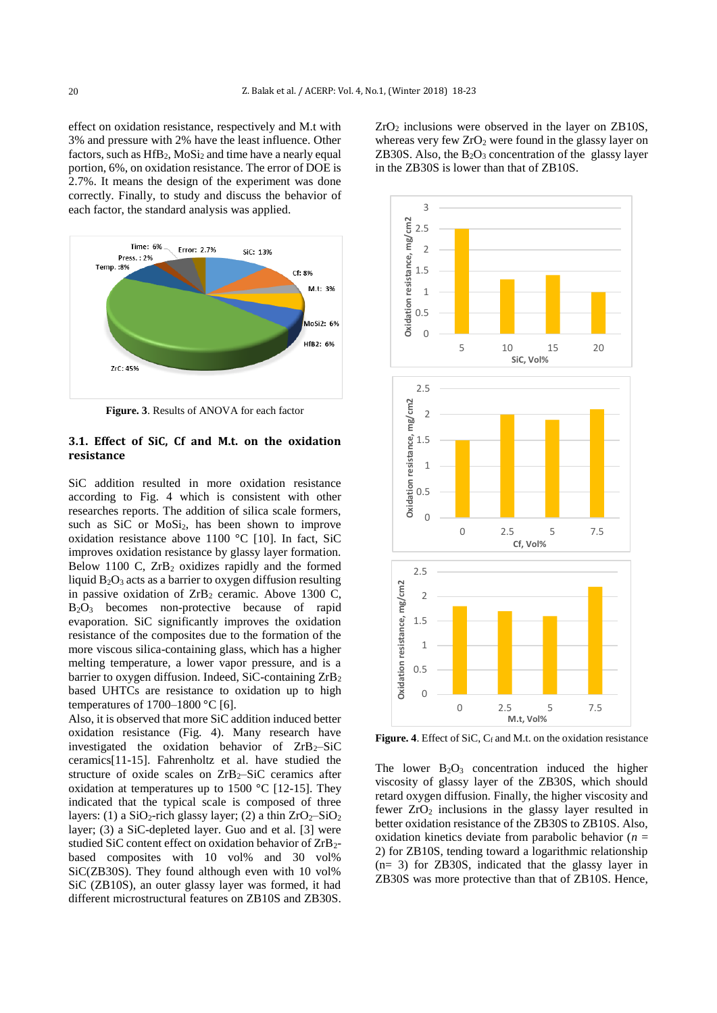effect on oxidation resistance, respectively and M.t with 3% and pressure with 2% have the least influence. Other factors, such as  $HfB_2$ ,  $MoSi<sub>2</sub>$  and time have a nearly equal portion, 6%, on oxidation resistance. The error of DOE is 2.7%. It means the design of the experiment was done correctly. Finally, to study and discuss the behavior of each factor, the standard analysis was applied.



**Figure. 3**. Results of ANOVA for each factor

# **3.1. Effect of SiC, Cf and M.t. on the oxidation resistance**

SiC addition resulted in more oxidation resistance according to Fig. 4 which is consistent with other researches reports. The addition of silica scale formers, such as SiC or MoSi<sub>2</sub>, has been shown to improve oxidation resistance above 1100 °C [10]. In fact, SiC improves oxidation resistance by glassy layer formation. Below 1100 C,  $ZrB_2$  oxidizes rapidly and the formed liquid  $B_2O_3$  acts as a barrier to oxygen diffusion resulting in passive oxidation of  $ZrB_2$  ceramic. Above 1300 C, B2O<sup>3</sup> becomes non-protective because of rapid evaporation. SiC significantly improves the oxidation resistance of the composites due to the formation of the more viscous silica-containing glass, which has a higher melting temperature, a lower vapor pressure, and is a barrier to oxygen diffusion. Indeed, SiC-containing ZrB<sup>2</sup> based UHTCs are resistance to oxidation up to high temperatures of  $1700-1800$  °C [6].

Also, it is observed that more SiC addition induced better oxidation resistance (Fig. 4). Many research have investigated the oxidation behavior of  $ZrB_2-SiC$ ceramics[11-15]. Fahrenholtz et al. have studied the structure of oxide scales on  $ZrB_2-SiC$  ceramics after oxidation at temperatures up to 1500 °C [12-15]. They indicated that the typical scale is composed of three layers: (1) a  $SiO_2$ -rich glassy layer; (2) a thin  $ZrO_2-SiO_2$ layer; (3) a SiC-depleted layer. Guo and et al. [3] were studied SiC content effect on oxidation behavior of ZrB2 based composites with 10 vol% and 30 vol% SiC(ZB30S). They found although even with 10 vol% SiC (ZB10S), an outer glassy layer was formed, it had different microstructural features on ZB10S and ZB30S.

 $ZrO<sub>2</sub>$  inclusions were observed in the layer on  $ZB10S$ , whereas very few  $ZrO<sub>2</sub>$  were found in the glassy layer on ZB30S. Also, the  $B_2O_3$  concentration of the glassy layer in the ZB30S is lower than that of ZB10S.



Figure. 4. Effect of SiC, C<sub>f</sub> and M.t. on the oxidation resistance

The lower  $B_2O_3$  concentration induced the higher viscosity of glassy layer of the ZB30S, which should retard oxygen diffusion. Finally, the higher viscosity and fewer  $ZrO<sub>2</sub>$  inclusions in the glassy layer resulted in better oxidation resistance of the ZB30S to ZB10S. Also, oxidation kinetics deviate from parabolic behavior (*n* = 2) for ZB10S, tending toward a logarithmic relationship (n= 3) for ZB30S, indicated that the glassy layer in ZB30S was more protective than that of ZB10S. Hence,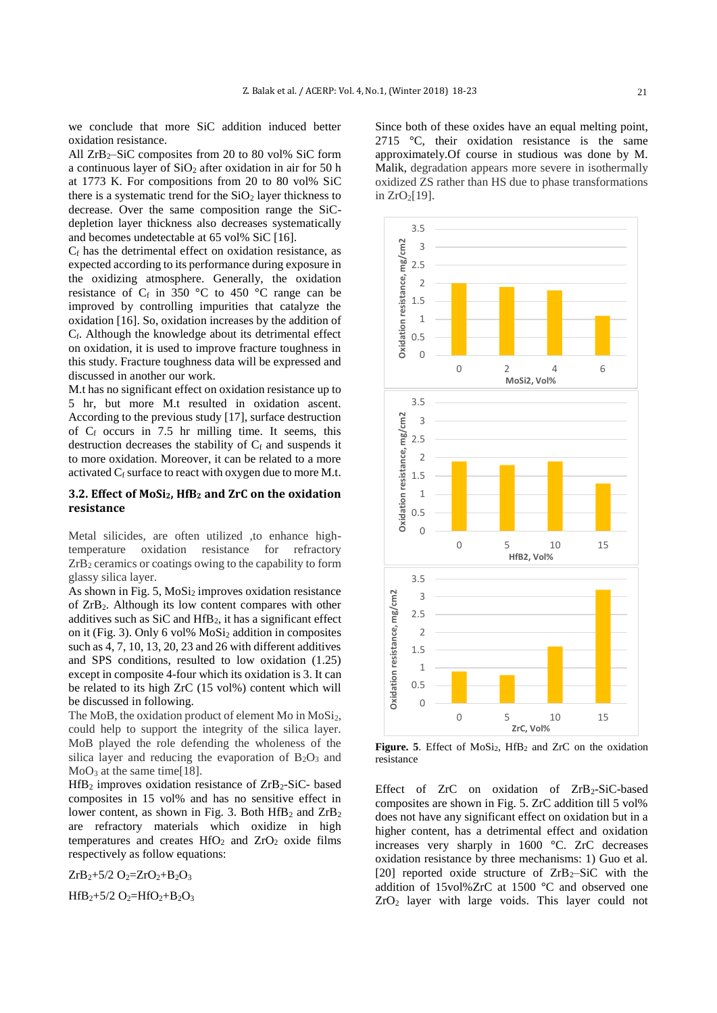we conclude that more SiC addition induced better oxidation resistance.

All  $ZrB_2-SiC$  composites from 20 to 80 vol% SiC form a continuous layer of  $SiO<sub>2</sub>$  after oxidation in air for 50 h at 1773 K. For compositions from 20 to 80 vol% SiC there is a systematic trend for the  $SiO<sub>2</sub>$  layer thickness to decrease. Over the same composition range the SiCdepletion layer thickness also decreases systematically and becomes undetectable at 65 vol% SiC [16].

 $C_f$  has the detrimental effect on oxidation resistance, as expected according to its performance during exposure in the oxidizing atmosphere. Generally, the oxidation resistance of  $C_f$  in 350 °C to 450 °C range can be improved by controlling impurities that catalyze the oxidation [16]. So, oxidation increases by the addition of Cf. Although the knowledge about its detrimental effect on oxidation, it is used to improve fracture toughness in this study. Fracture toughness data will be expressed and discussed in another our work.

M.t has no significant effect on oxidation resistance up to 5 hr, but more M.t resulted in oxidation ascent. According to the previous study [17], surface destruction of  $C_f$  occurs in 7.5 hr milling time. It seems, this destruction decreases the stability of  $C_f$  and suspends it to more oxidation. Moreover, it can be related to a more activated  $C_f$  surface to react with oxygen due to more M.t.

## **3.2. Effect of MoSi2, HfB<sup>2</sup> and ZrC on the oxidation resistance**

Metal silicides, are often utilized , to enhance hightemperature oxidation resistance for refractory  $ZrB<sub>2</sub>$  ceramics or coatings owing to the capability to form glassy silica layer.

As shown in Fig.  $5$ , MoSi<sub>2</sub> improves oxidation resistance of  $ZrB_2$ . Although its low content compares with other additives such as SiC and HfB2, it has a significant effect on it (Fig. 3). Only 6 vol% MoSi<sup>2</sup> addition in composites such as 4, 7, 10, 13, 20, 23 and 26 with different additives and SPS conditions, resulted to low oxidation (1.25) except in composite 4-four which its oxidation is 3. It can be related to its high ZrC (15 vol%) content which will be discussed in following.

The MoB, the oxidation product of element Mo in MoSi<sub>2</sub>, could help to support the integrity of the silica layer. MoB played the role defending the wholeness of the silica layer and reducing the evaporation of  $B_2O_3$  and  $MoO<sub>3</sub>$  at the same time[18].

 $HfB_2$  improves oxidation resistance of  $ZrB_2-SiC_2$  based composites in 15 vol% and has no sensitive effect in lower content, as shown in Fig. 3. Both  $HfB_2$  and  $ZrB_2$ are refractory materials which oxidize in high temperatures and creates  $HfO<sub>2</sub>$  and  $ZrO<sub>2</sub>$  oxide films respectively as follow equations:

 $ZrB_2+5/2 O_2=ZrO_2+B_2O_3$ 

 $HfB_2+5/2 O_2=HfO_2+B_2O_3$ 

Since both of these oxides have an equal melting point, 2715 °C, their oxidation resistance is the same approximately.Of course in studious was done by M. Malik, degradation appears more severe in isothermally oxidized ZS rather than HS due to phase transformations in  $ZrO<sub>2</sub>[19]$ .



Figure. 5. Effect of MoSi<sub>2</sub>, HfB<sub>2</sub> and ZrC on the oxidation resistance

Effect of  $ZrC$  on oxidation of  $ZrB_2-SiC$ -based composites are shown in Fig. 5. ZrC addition till 5 vol% does not have any significant effect on oxidation but in a higher content, has a detrimental effect and oxidation increases very sharply in 1600 °C. ZrC decreases oxidation resistance by three mechanisms: 1) Guo et al. [20] reported oxide structure of  $ZrB_2-SiC$  with the addition of 15vol%ZrC at 1500 °C and observed one ZrO<sup>2</sup> layer with large voids. This layer could not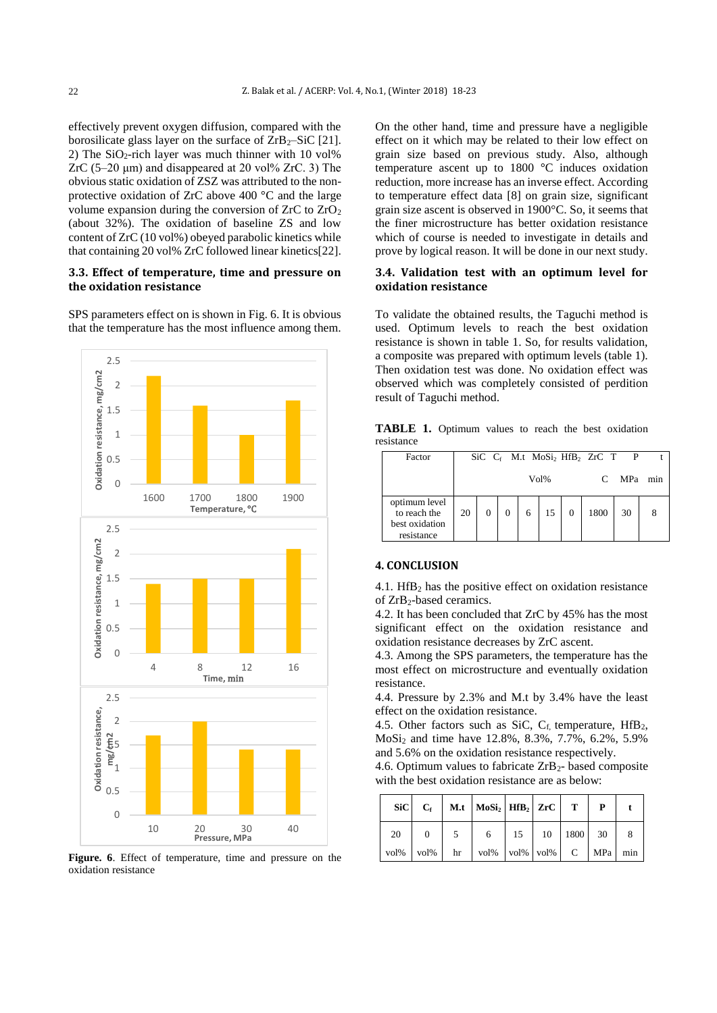effectively prevent oxygen diffusion, compared with the borosilicate glass layer on the surface of  $\text{ZrB}_2-\text{SiC}$  [21]. 2) The  $SiO<sub>2</sub>$ -rich layer was much thinner with 10 vol% ZrC (5–20 μm) and disappeared at 20 vol% ZrC. 3) The obvious static oxidation of ZSZ was attributed to the nonprotective oxidation of ZrC above 400 °C and the large volume expansion during the conversion of  $ZrC$  to  $ZrO<sub>2</sub>$ (about 32%). The oxidation of baseline ZS and low content of ZrC (10 vol%) obeyed parabolic kinetics while that containing 20 vol% ZrC followed linear kinetics[22].

### **3.3. Effect of temperature, time and pressure on the oxidation resistance**

SPS parameters effect on is shown in Fig. 6. It is obvious that the temperature has the most influence among them.



**Figure. 6**. Effect of temperature, time and pressure on the oxidation resistance

On the other hand, time and pressure have a negligible effect on it which may be related to their low effect on grain size based on previous study. Also, although temperature ascent up to 1800 °C induces oxidation reduction, more increase has an inverse effect. According to temperature effect data [8] on grain size, significant grain size ascent is observed in 1900°C. So, it seems that the finer microstructure has better oxidation resistance which of course is needed to investigate in details and prove by logical reason. It will be done in our next study.

# **3.4. Validation test with an optimum level for oxidation resistance**

To validate the obtained results, the Taguchi method is used. Optimum levels to reach the best oxidation resistance is shown in table 1. So, for results validation, a composite was prepared with optimum levels (table 1). Then oxidation test was done. No oxidation effect was observed which was completely consisted of perdition result of Taguchi method.

**TABLE 1.** Optimum values to reach the best oxidation resistance

| Factor                                                        |                         |  |  |  |  |  | $SiC$ $C_f$ M.t MoSi <sub>2</sub> HfB <sub>2</sub> ZrC T | $\mathbf{P}$ |     |
|---------------------------------------------------------------|-------------------------|--|--|--|--|--|----------------------------------------------------------|--------------|-----|
|                                                               | Vol <sub>%</sub><br>MPa |  |  |  |  |  |                                                          |              | min |
| optimum level<br>to reach the<br>best oxidation<br>resistance | 20                      |  |  |  |  |  | 1800                                                     | 30           |     |

## **4. CONCLUSION**

4.1. HfB<sub>2</sub> has the positive effect on oxidation resistance of ZrB2-based ceramics.

4.2. It has been concluded that ZrC by 45% has the most significant effect on the oxidation resistance and oxidation resistance decreases by ZrC ascent.

4.3. Among the SPS parameters, the temperature has the most effect on microstructure and eventually oxidation resistance.

4.4. Pressure by 2.3% and M.t by 3.4% have the least effect on the oxidation resistance.

4.5. Other factors such as SiC,  $C_f$ , temperature,  $HfB_2$ , MoSi<sup>2</sup> and time have 12.8%, 8.3%, 7.7%, 6.2%, 5.9% and 5.6% on the oxidation resistance respectively.

4.6. Optimum values to fabricate  $ZrB_2$ - based composite with the best oxidation resistance are as below:

|      |                | $\begin{array}{c c c c c c c c c} \hline \text{Si} & \text{C}_f & \text{M.t} & \text{MoSi}_2 & \text{HfB}_2 & \text{ZrC} & \text{T} \end{array}$ |               |  |  |
|------|----------------|--------------------------------------------------------------------------------------------------------------------------------------------------|---------------|--|--|
| 20   | $\overline{0}$ | 6                                                                                                                                                | 15 10 1800 30 |  |  |
| vol% |                | $\vert$ vol% $\vert$ hr $\vert$ vol% $\vert$ vol% $\vert$ vol% $\vert$ C $\vert$ MPa $\vert$ min                                                 |               |  |  |